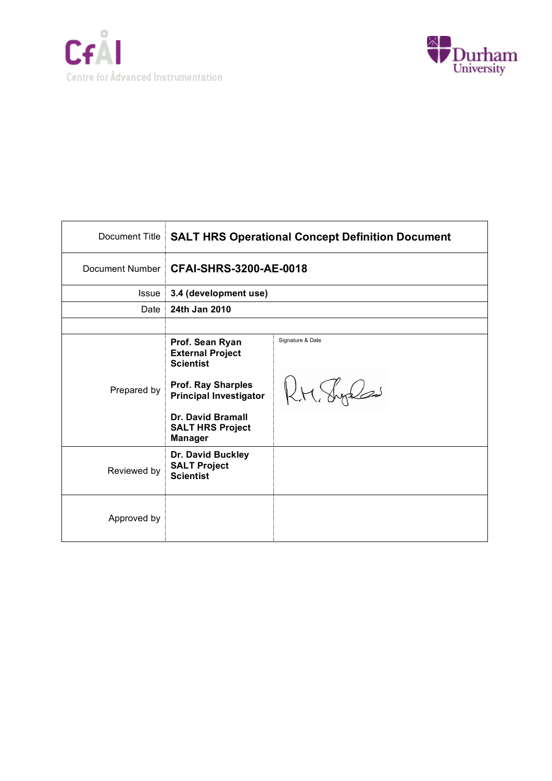



|             |                                                                                                                                                                                                | Document Title   SALT HRS Operational Concept Definition Document |
|-------------|------------------------------------------------------------------------------------------------------------------------------------------------------------------------------------------------|-------------------------------------------------------------------|
|             | Document Number   CFAI-SHRS-3200-AE-0018                                                                                                                                                       |                                                                   |
| Issue       | 3.4 (development use)                                                                                                                                                                          |                                                                   |
| Date        | 24th Jan 2010                                                                                                                                                                                  |                                                                   |
|             |                                                                                                                                                                                                |                                                                   |
| Prepared by | Prof. Sean Ryan<br><b>External Project</b><br><b>Scientist</b><br><b>Prof. Ray Sharples</b><br><b>Principal Investigator</b><br>Dr. David Bramall<br><b>SALT HRS Project</b><br><b>Manager</b> | Signature & Date<br>KM, Syls                                      |
| Reviewed by | Dr. David Buckley<br><b>SALT Project</b><br><b>Scientist</b>                                                                                                                                   |                                                                   |
| Approved by |                                                                                                                                                                                                |                                                                   |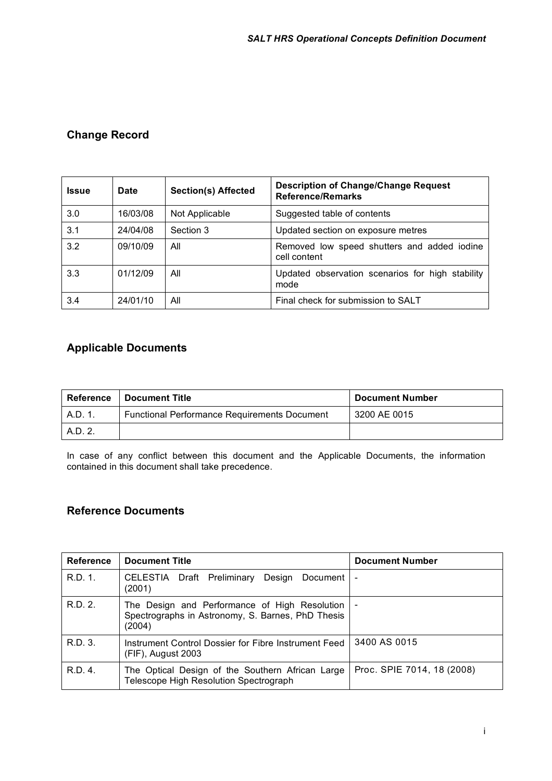## **Change Record**

| <b>Issue</b> | <b>Date</b> | <b>Section(s) Affected</b> | <b>Description of Change/Change Request</b><br><b>Reference/Remarks</b> |
|--------------|-------------|----------------------------|-------------------------------------------------------------------------|
| 3.0          | 16/03/08    | Not Applicable             | Suggested table of contents                                             |
| 3.1          | 24/04/08    | Section 3                  | Updated section on exposure metres                                      |
| 3.2          | 09/10/09    | All                        | Removed low speed shutters and added jodine<br>cell content             |
| 3.3          | 01/12/09    | All                        | Updated observation scenarios for high stability<br>mode                |
| 3.4          | 24/01/10    | All                        | Final check for submission to SALT                                      |

## **Applicable Documents**

| Reference | <b>Document Title</b>                               | <b>Document Number</b> |
|-----------|-----------------------------------------------------|------------------------|
| A.D. 1.   | <b>Functional Performance Requirements Document</b> | 3200 AE 0015           |
| A.D. 2.   |                                                     |                        |

In case of any conflict between this document and the Applicable Documents, the information contained in this document shall take precedence.

### **Reference Documents**

| <b>Reference</b> | <b>Document Title</b>                                                                                        | <b>Document Number</b>     |
|------------------|--------------------------------------------------------------------------------------------------------------|----------------------------|
| R.D. 1.          | CELESTIA Draft Preliminary<br>Design Document<br>(2001)                                                      |                            |
| R.D. 2.          | The Design and Performance of High Resolution<br>Spectrographs in Astronomy, S. Barnes, PhD Thesis<br>(2004) |                            |
| R.D. 3.          | Instrument Control Dossier for Fibre Instrument Feed<br>$(FIF)$ , August 2003                                | 3400 AS 0015               |
| R.D. 4.          | The Optical Design of the Southern African Large<br>Telescope High Resolution Spectrograph                   | Proc. SPIE 7014, 18 (2008) |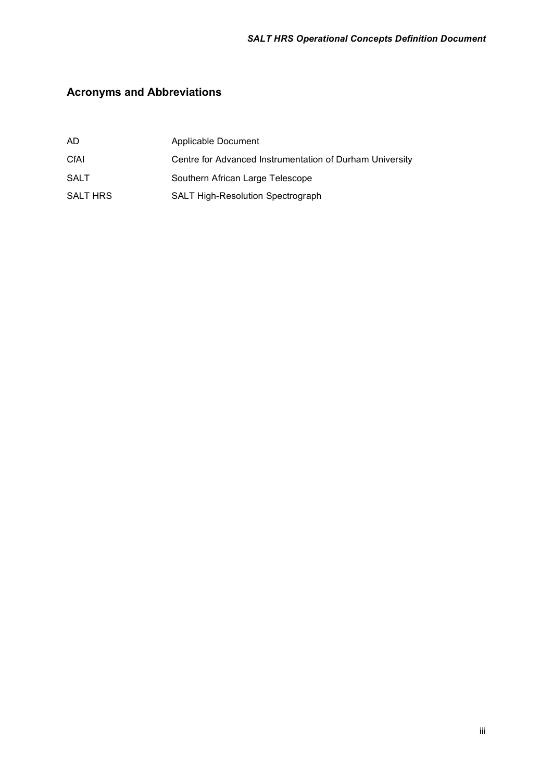## **Acronyms and Abbreviations**

| AD              | Applicable Document                                      |
|-----------------|----------------------------------------------------------|
| CfAI            | Centre for Advanced Instrumentation of Durham University |
| <b>SALT</b>     | Southern African Large Telescope                         |
| <b>SALT HRS</b> | <b>SALT High-Resolution Spectrograph</b>                 |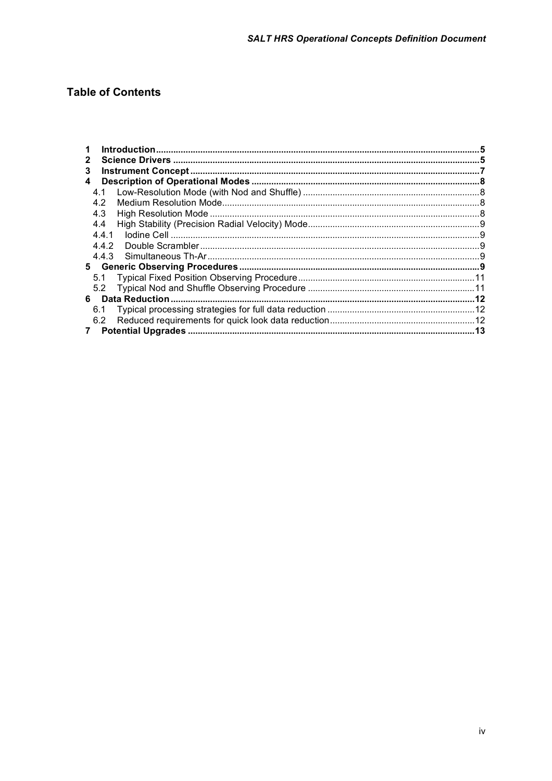## **Table of Contents**

| 3     |  |
|-------|--|
| 4     |  |
| 4.1   |  |
| 4.2   |  |
| 4.3   |  |
| 4.4   |  |
| 4.4.1 |  |
| 4.4.2 |  |
| 4.4.3 |  |
| 5     |  |
| 5.1   |  |
| 5.2   |  |
| 6     |  |
| 6.1   |  |
| 6.2   |  |
|       |  |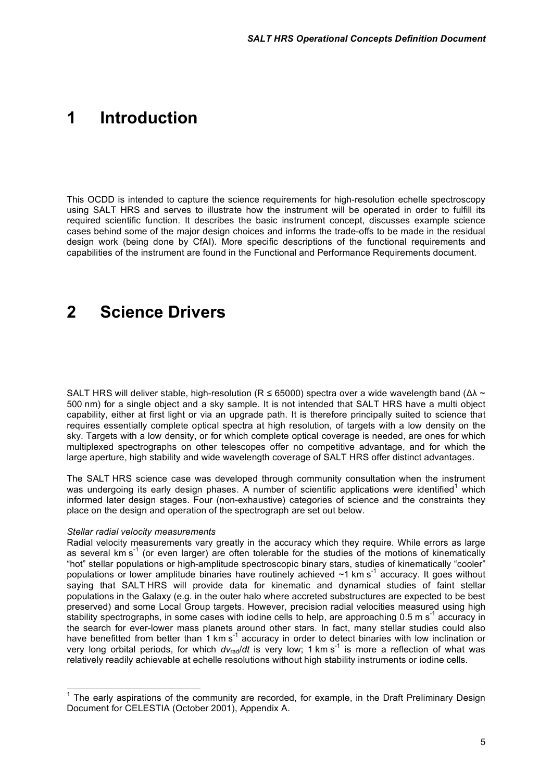## **1 Introduction**

This OCDD is intended to capture the science requirements for high-resolution echelle spectroscopy using SALT HRS and serves to illustrate how the instrument will be operated in order to fulfill its required scientific function. It describes the basic instrument concept, discusses example science cases behind some of the major design choices and informs the trade-offs to be made in the residual design work (being done by CfAI). More specific descriptions of the functional requirements and capabilities of the instrument are found in the Functional and Performance Requirements document.

## **2 Science Drivers**

SALT HRS will deliver stable, high-resolution (R  $\leq$  65000) spectra over a wide wavelength band (Δλ ~ 500 nm) for a single object and a sky sample. It is not intended that SALT HRS have a multi object capability, either at first light or via an upgrade path. It is therefore principally suited to science that requires essentially complete optical spectra at high resolution, of targets with a low density on the sky. Targets with a low density, or for which complete optical coverage is needed, are ones for which multiplexed spectrographs on other telescopes offer no competitive advantage, and for which the large aperture, high stability and wide wavelength coverage of SALT HRS offer distinct advantages.

The SALT HRS science case was developed through community consultation when the instrument was undergoing its early design phases. A number of scientific applications were identified<sup>1</sup> which informed later design stages. Four (non-exhaustive) categories of science and the constraints they place on the design and operation of the spectrograph are set out below.

#### *Stellar radial velocity measurements*

Radial velocity measurements vary greatly in the accuracy which they require. While errors as large as several km s<sup>-1</sup> (or even larger) are often tolerable for the studies of the motions of kinematically "hot" stellar populations or high-amplitude spectroscopic binary stars, studies of kinematically "cooler" populations or lower amplitude binaries have routinely achieved  $\sim$ 1 km s<sup>-1</sup> accuracy. It goes without saying that SALT HRS will provide data for kinematic and dynamical studies of faint stellar populations in the Galaxy (e.g. in the outer halo where accreted substructures are expected to be best preserved) and some Local Group targets. However, precision radial velocities measured using high stability spectrographs, in some cases with iodine cells to help, are approaching 0.5 m s<sup>-1</sup> accuracy in the search for ever-lower mass planets around other stars. In fact, many stellar studies could also have benefitted from better than 1 km s<sup>-1</sup> accuracy in order to detect binaries with low inclination or very long orbital periods, for which  $dV_{rad}/dt$  is very low; 1 km s<sup>-1</sup> is more a reflection of what was relatively readily achievable at echelle resolutions without high stability instruments or iodine cells.

<sup>1&</sup>lt;br><sup>1</sup> The early aspirations of the community are recorded, for example, in the Draft Preliminary Design Document for CELESTIA (October 2001), Appendix A.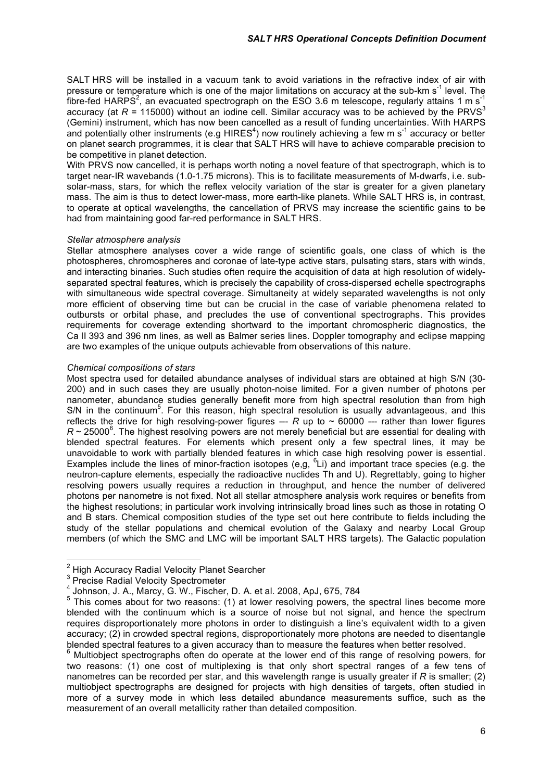SALT HRS will be installed in a vacuum tank to avoid variations in the refractive index of air with pressure or temperature which is one of the major limitations on accuracy at the sub-km s<sup>-1</sup> level. The fibre-fed HARPS<sup>2</sup>, an evacuated spectrograph on the ESO 3.6 m telescope, regularly attains 1 m s<sup>-1</sup> accuracy (at  $R = 115000$ ) without an iodine cell. Similar accuracy was to be achieved by the PRVS<sup>3</sup> (Gemini) instrument, which has now been cancelled as a result of funding uncertainties. With HARPS and potentially other instruments (e.g HIRES<sup>4</sup>) now routinely achieving a few m s<sup>-1</sup> accuracy or better on planet search programmes, it is clear that SALT HRS will have to achieve comparable precision to be competitive in planet detection.

With PRVS now cancelled, it is perhaps worth noting a novel feature of that spectrograph, which is to target near-IR wavebands (1.0-1.75 microns). This is to facilitate measurements of M-dwarfs, i.e. subsolar-mass, stars, for which the reflex velocity variation of the star is greater for a given planetary mass. The aim is thus to detect lower-mass, more earth-like planets. While SALT HRS is, in contrast, to operate at optical wavelengths, the cancellation of PRVS may increase the scientific gains to be had from maintaining good far-red performance in SALT HRS.

#### *Stellar atmosphere analysis*

Stellar atmosphere analyses cover a wide range of scientific goals, one class of which is the photospheres, chromospheres and coronae of late-type active stars, pulsating stars, stars with winds, and interacting binaries. Such studies often require the acquisition of data at high resolution of widelyseparated spectral features, which is precisely the capability of cross-dispersed echelle spectrographs with simultaneous wide spectral coverage. Simultaneity at widely separated wavelengths is not only more efficient of observing time but can be crucial in the case of variable phenomena related to outbursts or orbital phase, and precludes the use of conventional spectrographs. This provides requirements for coverage extending shortward to the important chromospheric diagnostics, the Ca II 393 and 396 nm lines, as well as Balmer series lines. Doppler tomography and eclipse mapping are two examples of the unique outputs achievable from observations of this nature.

#### *Chemical compositions of stars*

Most spectra used for detailed abundance analyses of individual stars are obtained at high S/N (30- 200) and in such cases they are usually photon-noise limited. For a given number of photons per nanometer, abundance studies generally benefit more from high spectral resolution than from high S/N in the continuum<sup>5</sup>. For this reason, high spectral resolution is usually advantageous, and this reflects the drive for high resolving-power figures  $-$ - $R$  up to  $\sim$  60000  $-$ - rather than lower figures R ~ 25000<sup>6</sup>. The highest resolving powers are not merely beneficial but are essential for dealing with blended spectral features. For elements which present only a few spectral lines, it may be unavoidable to work with partially blended features in which case high resolving power is essential. Examples include the lines of minor-fraction isotopes (e,g,  ${}^{6}$ Li) and important trace species (e.g. the neutron-capture elements, especially the radioactive nuclides Th and U). Regrettably, going to higher resolving powers usually requires a reduction in throughput, and hence the number of delivered photons per nanometre is not fixed. Not all stellar atmosphere analysis work requires or benefits from the highest resolutions; in particular work involving intrinsically broad lines such as those in rotating O and B stars. Chemical composition studies of the type set out here contribute to fields including the study of the stellar populations and chemical evolution of the Galaxy and nearby Local Group members (of which the SMC and LMC will be important SALT HRS targets). The Galactic population

 <sup>2</sup> High Accuracy Radial Velocity Planet Searcher

<sup>&</sup>lt;sup>3</sup> Precise Radial Velocity Spectrometer

<sup>4</sup> Johnson, J. A., Marcy, G. W., Fischer, D. A. et al. 2008, ApJ, 675, 784

 $5$  This comes about for two reasons: (1) at lower resolving powers, the spectral lines become more blended with the continuum which is a source of noise but not signal, and hence the spectrum requires disproportionately more photons in order to distinguish a line's equivalent width to a given accuracy; (2) in crowded spectral regions, disproportionately more photons are needed to disentangle blended spectral features to a given accuracy than to measure the features when better resolved.

<sup>6</sup> Multiobject spectrographs often do operate at the lower end of this range of resolving powers, for two reasons: (1) one cost of multiplexing is that only short spectral ranges of a few tens of nanometres can be recorded per star, and this wavelength range is usually greater if *R* is smaller; (2) multiobject spectrographs are designed for projects with high densities of targets, often studied in more of a survey mode in which less detailed abundance measurements suffice, such as the measurement of an overall metallicity rather than detailed composition.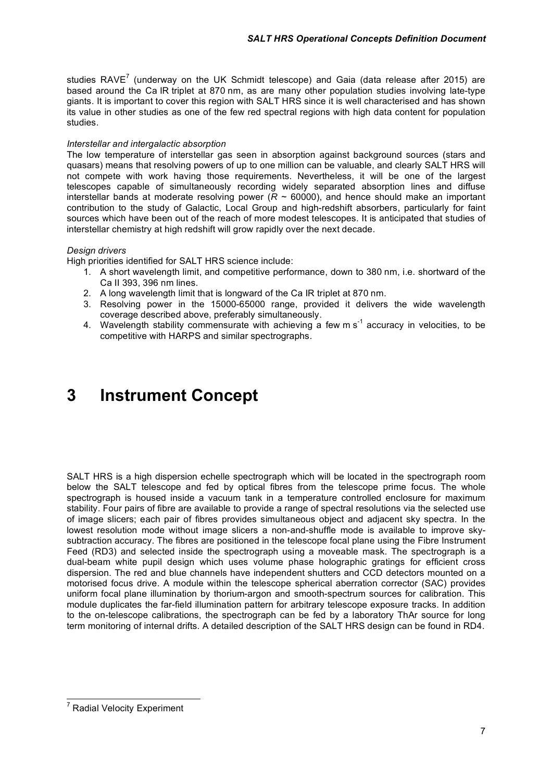studies RAVE<sup>7</sup> (underway on the UK Schmidt telescope) and Gaia (data release after 2015) are based around the Ca IR triplet at 870 nm, as are many other population studies involving late-type giants. It is important to cover this region with SALT HRS since it is well characterised and has shown its value in other studies as one of the few red spectral regions with high data content for population studies.

#### *Interstellar and intergalactic absorption*

The low temperature of interstellar gas seen in absorption against background sources (stars and quasars) means that resolving powers of up to one million can be valuable, and clearly SALT HRS will not compete with work having those requirements. Nevertheless, it will be one of the largest telescopes capable of simultaneously recording widely separated absorption lines and diffuse interstellar bands at moderate resolving power ( $\bar{R} \sim 60000$ ), and hence should make an important contribution to the study of Galactic, Local Group and high-redshift absorbers, particularly for faint sources which have been out of the reach of more modest telescopes. It is anticipated that studies of interstellar chemistry at high redshift will grow rapidly over the next decade.

### *Design drivers*

High priorities identified for SALT HRS science include:

- 1. A short wavelength limit, and competitive performance, down to 380 nm, i.e. shortward of the Ca II 393, 396 nm lines.
- 2. A long wavelength limit that is longward of the Ca IR triplet at 870 nm.
- 3. Resolving power in the 15000-65000 range, provided it delivers the wide wavelength coverage described above, preferably simultaneously.
- 4. Wavelength stability commensurate with achieving a few m s<sup>-1</sup> accuracy in velocities, to be competitive with HARPS and similar spectrographs.

## **3 Instrument Concept**

SALT HRS is a high dispersion echelle spectrograph which will be located in the spectrograph room below the SALT telescope and fed by optical fibres from the telescope prime focus. The whole spectrograph is housed inside a vacuum tank in a temperature controlled enclosure for maximum stability. Four pairs of fibre are available to provide a range of spectral resolutions via the selected use of image slicers; each pair of fibres provides simultaneous object and adjacent sky spectra. In the lowest resolution mode without image slicers a non-and-shuffle mode is available to improve skysubtraction accuracy. The fibres are positioned in the telescope focal plane using the Fibre Instrument Feed (RD3) and selected inside the spectrograph using a moveable mask. The spectrograph is a dual-beam white pupil design which uses volume phase holographic gratings for efficient cross dispersion. The red and blue channels have independent shutters and CCD detectors mounted on a motorised focus drive. A module within the telescope spherical aberration corrector (SAC) provides uniform focal plane illumination by thorium-argon and smooth-spectrum sources for calibration. This module duplicates the far-field illumination pattern for arbitrary telescope exposure tracks. In addition to the on-telescope calibrations, the spectrograph can be fed by a laboratory ThAr source for long term monitoring of internal drifts. A detailed description of the SALT HRS design can be found in RD4.

<sup>&</sup>lt;u>nd</u><br>The Velocity Experiment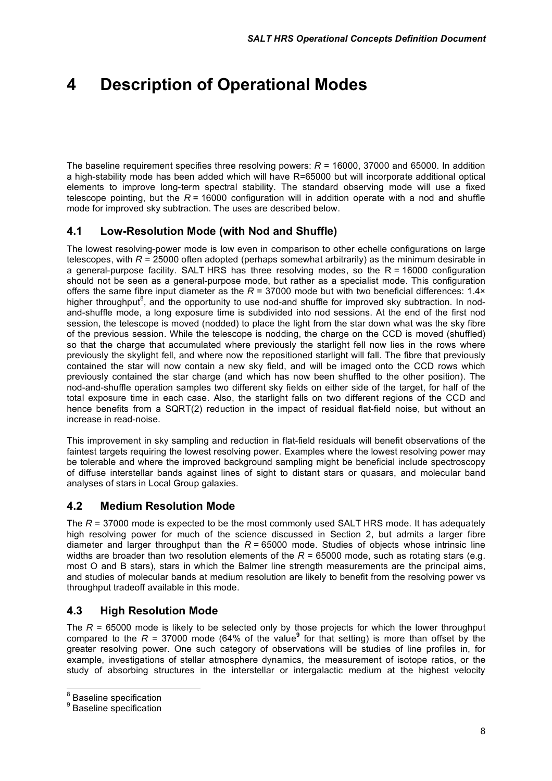## **4 Description of Operational Modes**

The baseline requirement specifies three resolving powers: *R* = 16000, 37000 and 65000. In addition a high-stability mode has been added which will have R=65000 but will incorporate additional optical elements to improve long-term spectral stability. The standard observing mode will use a fixed telescope pointing, but the  $R = 16000$  configuration will in addition operate with a nod and shuffle mode for improved sky subtraction. The uses are described below.

## **4.1 Low-Resolution Mode (with Nod and Shuffle)**

The lowest resolving-power mode is low even in comparison to other echelle configurations on large telescopes, with *R* = 25000 often adopted (perhaps somewhat arbitrarily) as the minimum desirable in a general-purpose facility. SALT HRS has three resolving modes, so the R = 16000 configuration should not be seen as a general-purpose mode, but rather as a specialist mode. This configuration offers the same fibre input diameter as the *R* = 37000 mode but with two beneficial differences: 1.4× higher throughput<sup>8</sup>, and the opportunity to use nod-and shuffle for improved sky subtraction. In nodand-shuffle mode, a long exposure time is subdivided into nod sessions. At the end of the first nod session, the telescope is moved (nodded) to place the light from the star down what was the sky fibre of the previous session. While the telescope is nodding, the charge on the CCD is moved (shuffled) so that the charge that accumulated where previously the starlight fell now lies in the rows where previously the skylight fell, and where now the repositioned starlight will fall. The fibre that previously contained the star will now contain a new sky field, and will be imaged onto the CCD rows which previously contained the star charge (and which has now been shuffled to the other position). The nod-and-shuffle operation samples two different sky fields on either side of the target, for half of the total exposure time in each case. Also, the starlight falls on two different regions of the CCD and hence benefits from a SQRT(2) reduction in the impact of residual flat-field noise, but without an increase in read-noise.

This improvement in sky sampling and reduction in flat-field residuals will benefit observations of the faintest targets requiring the lowest resolving power. Examples where the lowest resolving power may be tolerable and where the improved background sampling might be beneficial include spectroscopy of diffuse interstellar bands against lines of sight to distant stars or quasars, and molecular band analyses of stars in Local Group galaxies.

### **4.2 Medium Resolution Mode**

The *R* = 37000 mode is expected to be the most commonly used SALT HRS mode. It has adequately high resolving power for much of the science discussed in Section 2, but admits a larger fibre diameter and larger throughput than the  $R = 65000$  mode. Studies of objects whose intrinsic line widths are broader than two resolution elements of the *R* = 65000 mode, such as rotating stars (e.g. most O and B stars), stars in which the Balmer line strength measurements are the principal aims, and studies of molecular bands at medium resolution are likely to benefit from the resolving power vs throughput tradeoff available in this mode.

## **4.3 High Resolution Mode**

The  $R = 65000$  mode is likely to be selected only by those projects for which the lower throughput compared to the  $R = 37000$  mode (64% of the value<sup>9</sup> for that setting) is more than offset by the greater resolving power. One such category of observations will be studies of line profiles in, for example, investigations of stellar atmosphere dynamics, the measurement of isotope ratios, or the study of absorbing structures in the interstellar or intergalactic medium at the highest velocity

<sup>&</sup>lt;u>essective</u><br>Baseline specification

<sup>&</sup>lt;sup>9</sup> Baseline specification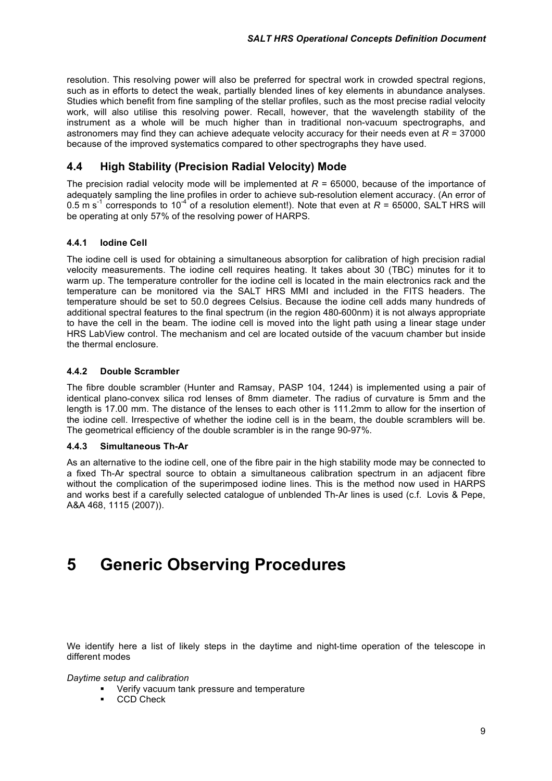resolution. This resolving power will also be preferred for spectral work in crowded spectral regions, such as in efforts to detect the weak, partially blended lines of key elements in abundance analyses. Studies which benefit from fine sampling of the stellar profiles, such as the most precise radial velocity work, will also utilise this resolving power. Recall, however, that the wavelength stability of the instrument as a whole will be much higher than in traditional non-vacuum spectrographs, and astronomers may find they can achieve adequate velocity accuracy for their needs even at *R* = 37000 because of the improved systematics compared to other spectrographs they have used.

### **4.4 High Stability (Precision Radial Velocity) Mode**

The precision radial velocity mode will be implemented at *R* = 65000, because of the importance of adequately sampling the line profiles in order to achieve sub-resolution element accuracy. (An error of 0.5 m s<sup>-1</sup> corresponds to 10<sup>-4</sup> of a resolution element!). Note that even at  $R = 65000$ , SALT HRS will be operating at only 57% of the resolving power of HARPS.

#### **4.4.1 Iodine Cell**

The iodine cell is used for obtaining a simultaneous absorption for calibration of high precision radial velocity measurements. The iodine cell requires heating. It takes about 30 (TBC) minutes for it to warm up. The temperature controller for the iodine cell is located in the main electronics rack and the temperature can be monitored via the SALT HRS MMI and included in the FITS headers. The temperature should be set to 50.0 degrees Celsius. Because the iodine cell adds many hundreds of additional spectral features to the final spectrum (in the region 480-600nm) it is not always appropriate to have the cell in the beam. The iodine cell is moved into the light path using a linear stage under HRS LabView control. The mechanism and cel are located outside of the vacuum chamber but inside the thermal enclosure.

#### **4.4.2 Double Scrambler**

The fibre double scrambler (Hunter and Ramsay, PASP 104, 1244) is implemented using a pair of identical plano-convex silica rod lenses of 8mm diameter. The radius of curvature is 5mm and the length is 17.00 mm. The distance of the lenses to each other is 111.2mm to allow for the insertion of the iodine cell. Irrespective of whether the iodine cell is in the beam, the double scramblers will be. The geometrical efficiency of the double scrambler is in the range 90-97%.

#### **4.4.3 Simultaneous Th-Ar**

As an alternative to the iodine cell, one of the fibre pair in the high stability mode may be connected to a fixed Th-Ar spectral source to obtain a simultaneous calibration spectrum in an adjacent fibre without the complication of the superimposed iodine lines. This is the method now used in HARPS and works best if a carefully selected catalogue of unblended Th-Ar lines is used (c.f. Lovis & Pepe, A&A 468, 1115 (2007)).

## **5 Generic Observing Procedures**

We identify here a list of likely steps in the daytime and night-time operation of the telescope in different modes

#### *Daytime setup and calibration*

- Verify vacuum tank pressure and temperature
- **CCD Check**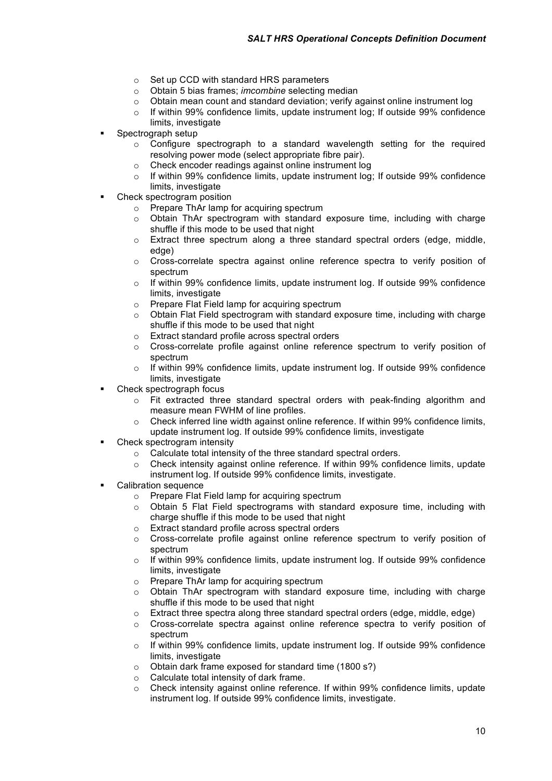- o Set up CCD with standard HRS parameters
- o Obtain 5 bias frames; *imcombine* selecting median
- $\circ$  Obtain mean count and standard deviation; verify against online instrument log
- $\circ$  If within 99% confidence limits, update instrument log; If outside 99% confidence limits, investigate
- Spectrograph setup
	- $\circ$  Configure spectrograph to a standard wavelength setting for the required resolving power mode (select appropriate fibre pair).
	- o Check encoder readings against online instrument log
	- $\circ$  If within 99% confidence limits, update instrument log; If outside 99% confidence limits, investigate
- Check spectrogram position
	- o Prepare ThAr lamp for acquiring spectrum
	- $\circ$  Obtain ThAr spectrogram with standard exposure time, including with charge shuffle if this mode to be used that night
	- o Extract three spectrum along a three standard spectral orders (edge, middle, edge)
	- o Cross-correlate spectra against online reference spectra to verify position of spectrum
	- $\circ$  If within 99% confidence limits, update instrument log. If outside 99% confidence limits, investigate
	- o Prepare Flat Field lamp for acquiring spectrum
	- $\circ$  Obtain Flat Field spectrogram with standard exposure time, including with charge shuffle if this mode to be used that night
	- o Extract standard profile across spectral orders
	- $\circ$  Cross-correlate profile against online reference spectrum to verify position of spectrum
	- $\circ$  If within 99% confidence limits, update instrument log. If outside 99% confidence limits, investigate
- Check spectrograph focus
	- o Fit extracted three standard spectral orders with peak-finding algorithm and measure mean FWHM of line profiles.
	- $\circ$  Check inferred line width against online reference. If within 99% confidence limits, update instrument log. If outside 99% confidence limits, investigate
- Check spectrogram intensity
	- o Calculate total intensity of the three standard spectral orders.<br>  $\circ$  Check intensity against online reference. If within 99% confi
	- Check intensity against online reference. If within 99% confidence limits, update
	- instrument log. If outside 99% confidence limits, investigate.
- Calibration sequence
	- o Prepare Flat Field lamp for acquiring spectrum
	- $\circ$  Obtain 5 Flat Field spectrograms with standard exposure time, including with charge shuffle if this mode to be used that night
	- o Extract standard profile across spectral orders
	- $\circ$  Cross-correlate profile against online reference spectrum to verify position of spectrum
	- $\circ$  If within 99% confidence limits, update instrument log. If outside 99% confidence limits, investigate
	- o Prepare ThAr lamp for acquiring spectrum
	- o Obtain ThAr spectrogram with standard exposure time, including with charge shuffle if this mode to be used that night
	- o Extract three spectra along three standard spectral orders (edge, middle, edge)
	- o Cross-correlate spectra against online reference spectra to verify position of spectrum
	- $\circ$  If within 99% confidence limits, update instrument log. If outside 99% confidence limits, investigate
	- o Obtain dark frame exposed for standard time (1800 s?)
	- o Calculate total intensity of dark frame.
	- o Check intensity against online reference. If within 99% confidence limits, update instrument log. If outside 99% confidence limits, investigate.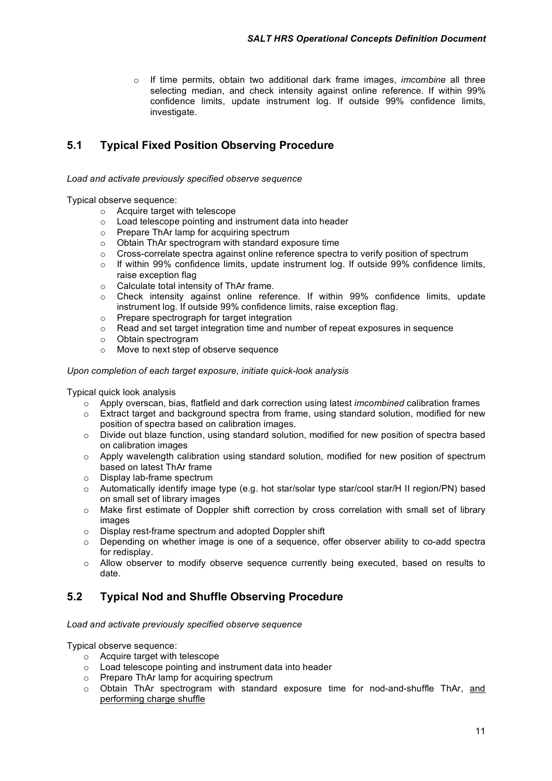o If time permits, obtain two additional dark frame images, *imcombine* all three selecting median, and check intensity against online reference. If within 99% confidence limits, update instrument log. If outside 99% confidence limits, investigate.

## **5.1 Typical Fixed Position Observing Procedure**

#### *Load and activate previously specified observe sequence*

Typical observe sequence:

- o Acquire target with telescope
- o Load telescope pointing and instrument data into header
- o Prepare ThAr lamp for acquiring spectrum
- 
- Obtain ThAr spectrogram with standard exposure time<br>○ Cross-correlate spectra against online reference spectr Cross-correlate spectra against online reference spectra to verify position of spectrum
- $\circ$  If within 99% confidence limits, update instrument log. If outside 99% confidence limits, raise exception flag
- o Calculate total intensity of ThAr frame.
- o Check intensity against online reference. If within 99% confidence limits, update instrument log. If outside 99% confidence limits, raise exception flag.
- o Prepare spectrograph for target integration
- $\circ$  Read and set target integration time and number of repeat exposures in sequence
- o Obtain spectrogram
- o Move to next step of observe sequence

#### *Upon completion of each target exposure, initiate quick-look analysis*

Typical quick look analysis

- o Apply overscan, bias, flatfield and dark correction using latest *imcombined* calibration frames
- $\circ$  Extract target and background spectra from frame, using standard solution, modified for new position of spectra based on calibration images.
- $\circ$  Divide out blaze function, using standard solution, modified for new position of spectra based on calibration images
- $\circ$  Apply wavelength calibration using standard solution, modified for new position of spectrum based on latest ThAr frame
- o Display lab-frame spectrum
- o Automatically identify image type (e.g. hot star/solar type star/cool star/H II region/PN) based on small set of library images
- $\circ$  Make first estimate of Doppler shift correction by cross correlation with small set of library images
- o Display rest-frame spectrum and adopted Doppler shift
- o Depending on whether image is one of a sequence, offer observer ability to co-add spectra for redisplay.
- o Allow observer to modify observe sequence currently being executed, based on results to date.

### **5.2 Typical Nod and Shuffle Observing Procedure**

*Load and activate previously specified observe sequence*

Typical observe sequence:

- o Acquire target with telescope
- o Load telescope pointing and instrument data into header
- o Prepare ThAr lamp for acquiring spectrum
- $\circ$  Obtain ThAr spectrogram with standard exposure time for nod-and-shuffle ThAr, and performing charge shuffle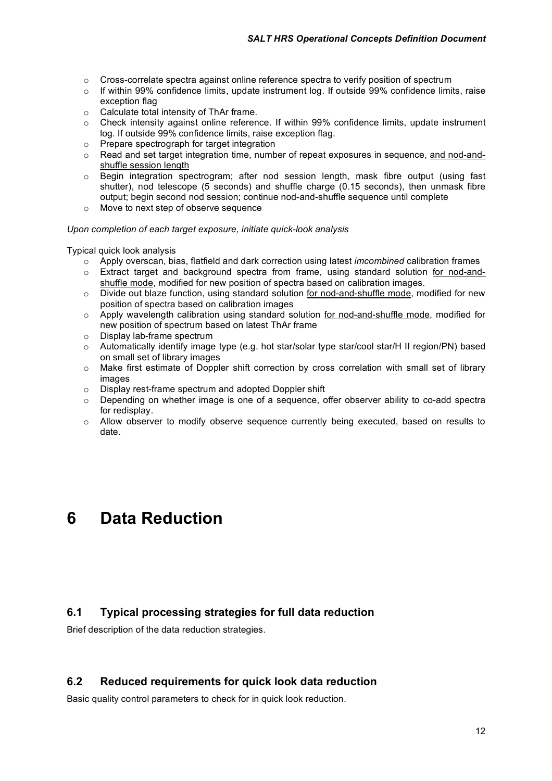- $\circ$  Cross-correlate spectra against online reference spectra to verify position of spectrum
- $\circ$  If within 99% confidence limits, update instrument log. If outside 99% confidence limits, raise exception flag
- o Calculate total intensity of ThAr frame.
- $\circ$  Check intensity against online reference. If within 99% confidence limits, update instrument log. If outside 99% confidence limits, raise exception flag.
- Prepare spectrograph for target integration<br>○ Read and set target integration time. numh
- Read and set target integration time, number of repeat exposures in sequence, and nod-andshuffle session length
- o Begin integration spectrogram; after nod session length, mask fibre output (using fast shutter), nod telescope (5 seconds) and shuffle charge (0.15 seconds), then unmask fibre output; begin second nod session; continue nod-and-shuffle sequence until complete
- o Move to next step of observe sequence

#### *Upon completion of each target exposure, initiate quick-look analysis*

Typical quick look analysis

- o Apply overscan, bias, flatfield and dark correction using latest *imcombined* calibration frames
- o Extract target and background spectra from frame, using standard solution for nod-andshuffle mode, modified for new position of spectra based on calibration images.
- o Divide out blaze function, using standard solution for nod-and-shuffle mode, modified for new position of spectra based on calibration images
- $\circ$  Apply wavelength calibration using standard solution for nod-and-shuffle mode, modified for new position of spectrum based on latest ThAr frame
- o Display lab-frame spectrum<br>
o Automatically identify image
- Automatically identify image type (e.g. hot star/solar type star/cool star/H II region/PN) based on small set of library images
- o Make first estimate of Doppler shift correction by cross correlation with small set of library images
- o Display rest-frame spectrum and adopted Doppler shift
- o Depending on whether image is one of a sequence, offer observer ability to co-add spectra for redisplay.
- o Allow observer to modify observe sequence currently being executed, based on results to date.

## **6 Data Reduction**

### **6.1 Typical processing strategies for full data reduction**

Brief description of the data reduction strategies.

### **6.2 Reduced requirements for quick look data reduction**

Basic quality control parameters to check for in quick look reduction.